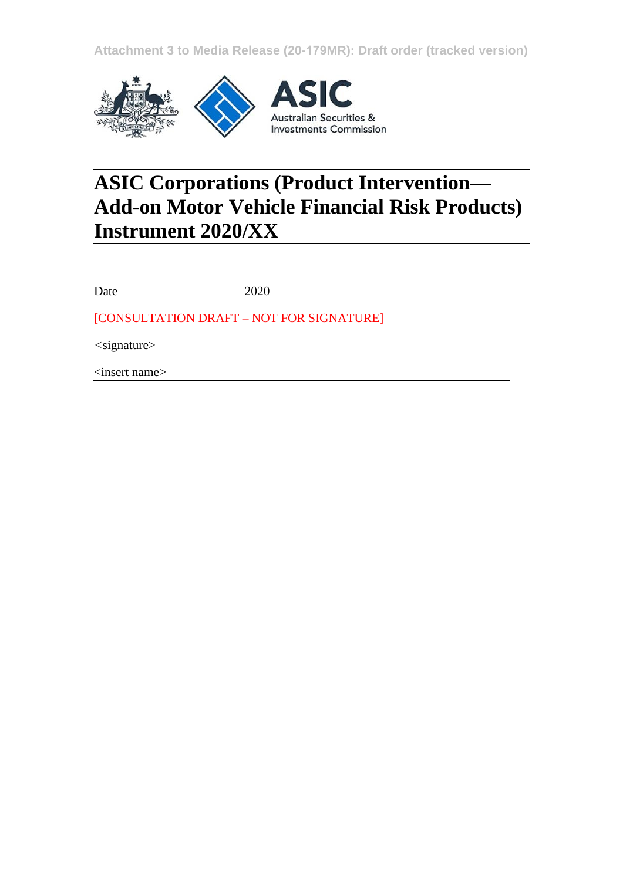**Attachment 3 to Media Release (20-179MR): Draft order (tracked version)**



# **ASIC Corporations (Product Intervention— Add-on Motor Vehicle Financial Risk Products) Instrument 2020/XX**

Date 2020

[CONSULTATION DRAFT – NOT FOR SIGNATURE]

*<*signature>

<insert name>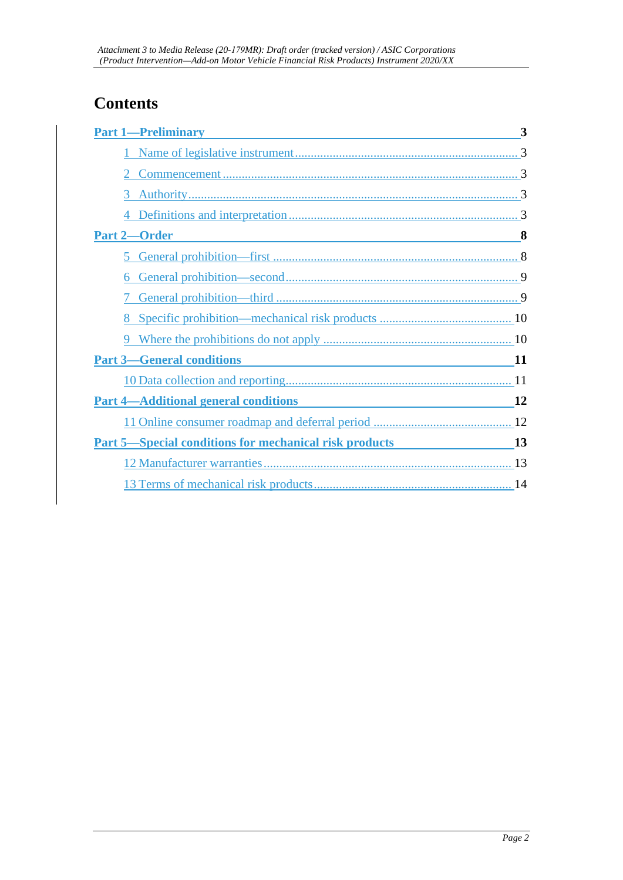## **Contents**

| <b>Part 1-Preliminary</b>                                     | 3        |
|---------------------------------------------------------------|----------|
|                                                               |          |
|                                                               |          |
| 3                                                             |          |
|                                                               |          |
| Part 2-Order<br><u> 1999 - Johann Barbara, martin a</u>       | $\sim$ 8 |
| 5                                                             |          |
| 6                                                             |          |
|                                                               |          |
|                                                               |          |
|                                                               |          |
| <b>Part 3-General conditions</b>                              |          |
|                                                               |          |
| <b>Part 4-Additional general conditions</b>                   | 12       |
|                                                               |          |
| <b>Part 5—Special conditions for mechanical risk products</b> | 13       |
|                                                               |          |
|                                                               |          |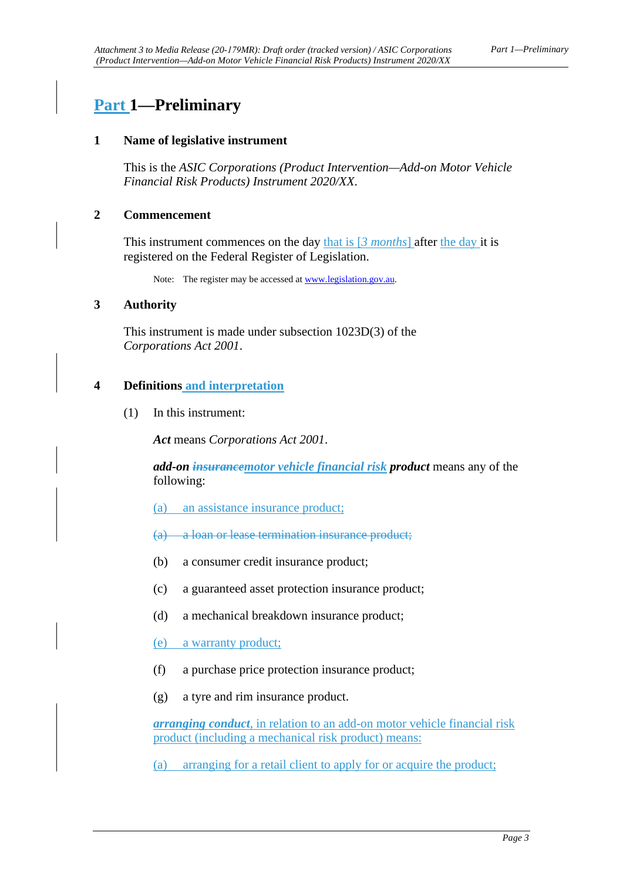## <span id="page-2-1"></span><span id="page-2-0"></span>**Part 1—Preliminary**

#### **1 Name of legislative instrument**

This is the *ASIC Corporations (Product Intervention—Add-on Motor Vehicle Financial Risk Products) Instrument 2020/XX*.

#### <span id="page-2-2"></span>**2 Commencement**

This instrument commences on the day that is [*3 months*] after the day it is registered on the Federal Register of Legislation.

Note: The register may be accessed a[t www.legislation.gov.au.](http://www.legislation.gov.au/)

#### <span id="page-2-3"></span>**3 Authority**

This instrument is made under subsection 1023D(3) of the *Corporations Act 2001*.

#### <span id="page-2-4"></span>**4 Definitions and interpretation**

(1) In this instrument:

*Act* means *Corporations Act 2001*.

*add-on insurancemotor vehicle financial risk product* means any of the following:

- (a) an assistance insurance product;
- (a) a loan or lease termination insurance product;
- (b) a consumer credit insurance product;
- (c) a guaranteed asset protection insurance product;
- (d) a mechanical breakdown insurance product;
- (e) a warranty product;
- (f) a purchase price protection insurance product;
- (g) a tyre and rim insurance product.

*arranging conduct*, in relation to an add-on motor vehicle financial risk product (including a mechanical risk product) means:

(a) arranging for a retail client to apply for or acquire the product;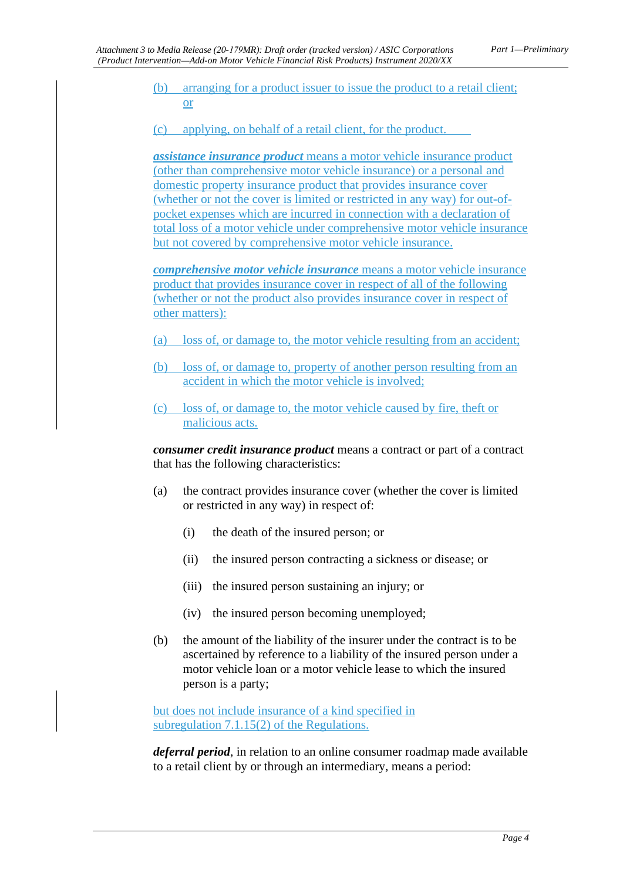(b) arranging for a product issuer to issue the product to a retail client; or

(c) applying, on behalf of a retail client, for the product.

*assistance insurance product* means a motor vehicle insurance product (other than comprehensive motor vehicle insurance) or a personal and domestic property insurance product that provides insurance cover (whether or not the cover is limited or restricted in any way) for out-ofpocket expenses which are incurred in connection with a declaration of total loss of a motor vehicle under comprehensive motor vehicle insurance but not covered by comprehensive motor vehicle insurance.

*comprehensive motor vehicle insurance* means a motor vehicle insurance product that provides insurance cover in respect of all of the following (whether or not the product also provides insurance cover in respect of other matters):

- (a) loss of, or damage to, the motor vehicle resulting from an accident;
- (b) loss of, or damage to, property of another person resulting from an accident in which the motor vehicle is involved;
- (c) loss of, or damage to, the motor vehicle caused by fire, theft or malicious acts.

*consumer credit insurance product* means a contract or part of a contract that has the following characteristics:

- (a) the contract provides insurance cover (whether the cover is limited or restricted in any way) in respect of:
	- (i) the death of the insured person; or
	- (ii) the insured person contracting a sickness or disease; or
	- (iii) the insured person sustaining an injury; or
	- (iv) the insured person becoming unemployed;
- (b) the amount of the liability of the insurer under the contract is to be ascertained by reference to a liability of the insured person under a motor vehicle loan or a motor vehicle lease to which the insured person is a party;

but does not include insurance of a kind specified in subregulation 7.1.15(2) of the Regulations.

*deferral period*, in relation to an online consumer roadmap made available to a retail client by or through an intermediary, means a period: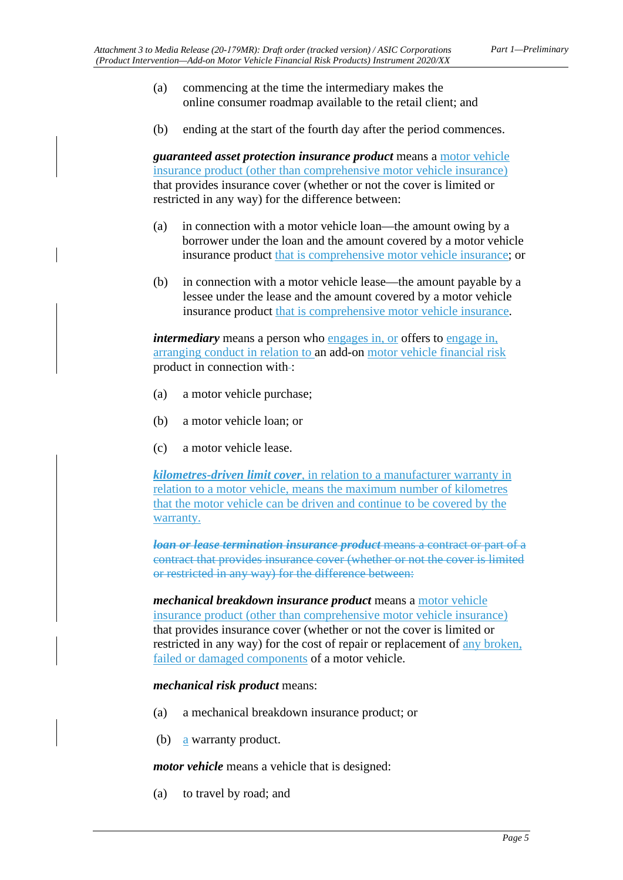- (a) commencing at the time the intermediary makes the online consumer roadmap available to the retail client; and
- (b) ending at the start of the fourth day after the period commences.

*guaranteed asset protection insurance product* means a motor vehicle insurance product (other than comprehensive motor vehicle insurance) that provides insurance cover (whether or not the cover is limited or restricted in any way) for the difference between:

- (a) in connection with a motor vehicle loan—the amount owing by a borrower under the loan and the amount covered by a motor vehicle insurance product that is comprehensive motor vehicle insurance; or
- (b) in connection with a motor vehicle lease—the amount payable by a lessee under the lease and the amount covered by a motor vehicle insurance product that is comprehensive motor vehicle insurance.

*intermediary* means a person who engages in, or offers to engage in, arranging conduct in relation to an add-on motor vehicle financial risk product in connection with-:

- (a) a motor vehicle purchase;
- (b) a motor vehicle loan; or
- (c) a motor vehicle lease.

*kilometres-driven limit cover*, in relation to a manufacturer warranty in relation to a motor vehicle, means the maximum number of kilometres that the motor vehicle can be driven and continue to be covered by the warranty.

*loan or lease termination insurance product* means a contract or part of a contract that provides insurance cover (whether or not the cover is limited or restricted in any way) for the difference between:

*mechanical breakdown insurance product* means a motor vehicle insurance product (other than comprehensive motor vehicle insurance) that provides insurance cover (whether or not the cover is limited or restricted in any way) for the cost of repair or replacement of any broken, failed or damaged components of a motor vehicle.

#### *mechanical risk product* means:

- (a) a mechanical breakdown insurance product; or
- (b) a warranty product.

*motor vehicle* means a vehicle that is designed:

(a) to travel by road; and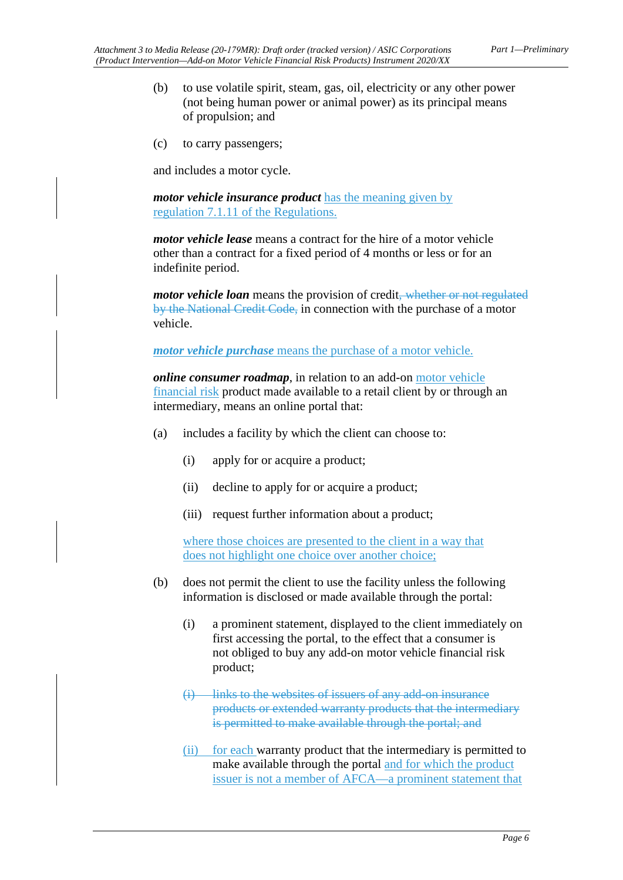- (b) to use volatile spirit, steam, gas, oil, electricity or any other power (not being human power or animal power) as its principal means of propulsion; and
- (c) to carry passengers;

and includes a motor cycle.

*motor vehicle insurance product* has the meaning given by regulation 7.1.11 of the Regulations.

*motor vehicle lease* means a contract for the hire of a motor vehicle other than a contract for a fixed period of 4 months or less or for an indefinite period.

*motor vehicle loan* means the provision of credit<del>, whether or not regulated</del> by the National Credit Code, in connection with the purchase of a motor vehicle.

*motor vehicle purchase* means the purchase of a motor vehicle.

*online consumer roadmap*, in relation to an add-on motor vehicle financial risk product made available to a retail client by or through an intermediary, means an online portal that:

- (a) includes a facility by which the client can choose to:
	- (i) apply for or acquire a product;
	- (ii) decline to apply for or acquire a product;
	- (iii) request further information about a product;

where those choices are presented to the client in a way that does not highlight one choice over another choice;

- (b) does not permit the client to use the facility unless the following information is disclosed or made available through the portal:
	- (i) a prominent statement, displayed to the client immediately on first accessing the portal, to the effect that a consumer is not obliged to buy any add-on motor vehicle financial risk product;
	- (i) links to the websites of issuers of any add-on insurance products or extended warranty products that the intermediary is permitted to make available through the portal; and
	- (ii) for each warranty product that the intermediary is permitted to make available through the portal and for which the product issuer is not a member of AFCA—a prominent statement that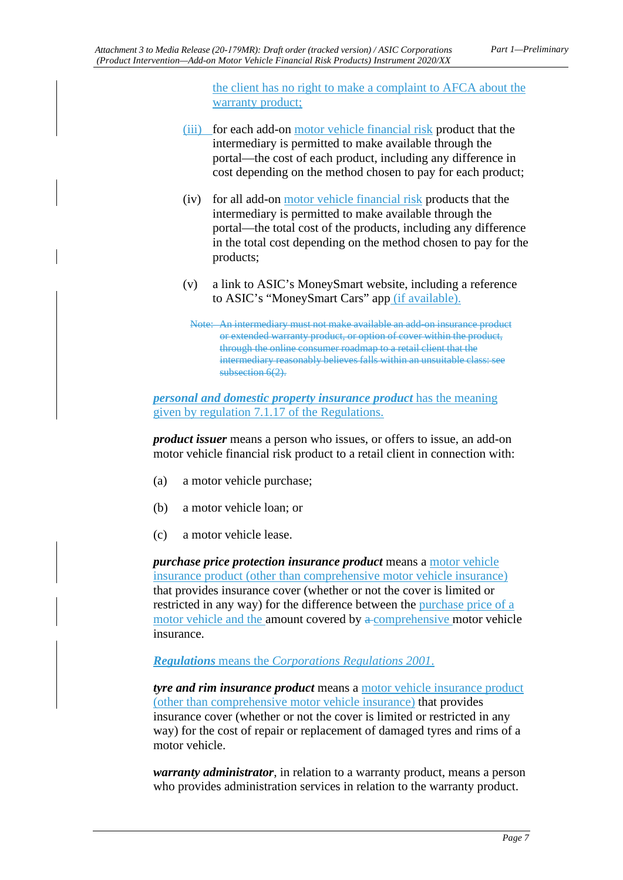the client has no right to make a complaint to AFCA about the warranty product;

- (iii) for each add-on motor vehicle financial risk product that the intermediary is permitted to make available through the portal—the cost of each product, including any difference in cost depending on the method chosen to pay for each product;
- (iv) for all add-on motor vehicle financial risk products that the intermediary is permitted to make available through the portal—the total cost of the products, including any difference in the total cost depending on the method chosen to pay for the products;
- (v) a link to ASIC's MoneySmart website, including a reference to ASIC's "MoneySmart Cars" app (if available).
	- Note: An intermediary must not make available an add-on insurance product or extended warranty product, or option of cover within the product, through the online consumer roadmap to a retail client that the intermediary reasonably believes falls within an unsuitable class: see subsection 6(2).

*personal and domestic property insurance product* has the meaning given by regulation 7.1.17 of the Regulations.

*product issuer* means a person who issues, or offers to issue, an add-on motor vehicle financial risk product to a retail client in connection with:

- (a) a motor vehicle purchase;
- (b) a motor vehicle loan; or
- (c) a motor vehicle lease.

*purchase price protection insurance product* means a motor vehicle insurance product (other than comprehensive motor vehicle insurance) that provides insurance cover (whether or not the cover is limited or restricted in any way) for the difference between the purchase price of a motor vehicle and the amount covered by a comprehensive motor vehicle insurance.

*Regulations* means the *Corporations Regulations 2001*.

*tyre and rim insurance product* means a motor vehicle insurance product (other than comprehensive motor vehicle insurance) that provides insurance cover (whether or not the cover is limited or restricted in any way) for the cost of repair or replacement of damaged tyres and rims of a motor vehicle.

*warranty administrator*, in relation to a warranty product, means a person who provides administration services in relation to the warranty product.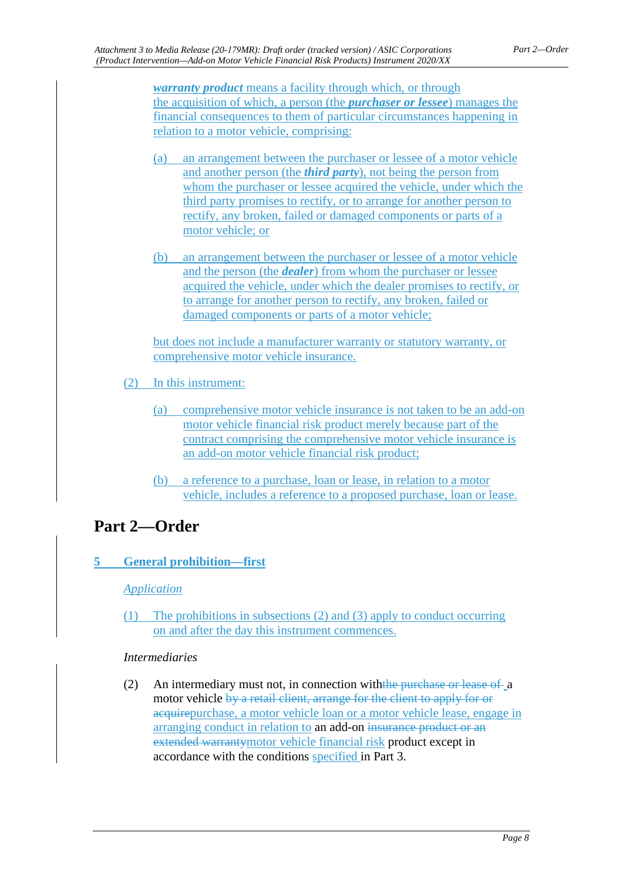*warranty product* means a facility through which, or through the acquisition of which, a person (the *purchaser or lessee*) manages the financial consequences to them of particular circumstances happening in relation to a motor vehicle, comprising:

- (a) an arrangement between the purchaser or lessee of a motor vehicle and another person (the *third party*), not being the person from whom the purchaser or lessee acquired the vehicle, under which the third party promises to rectify, or to arrange for another person to rectify, any broken, failed or damaged components or parts of a motor vehicle; or
- (b) an arrangement between the purchaser or lessee of a motor vehicle and the person (the *dealer*) from whom the purchaser or lessee acquired the vehicle, under which the dealer promises to rectify, or to arrange for another person to rectify, any broken, failed or damaged components or parts of a motor vehicle;

but does not include a manufacturer warranty or statutory warranty, or comprehensive motor vehicle insurance.

- (2) In this instrument:
	- (a) comprehensive motor vehicle insurance is not taken to be an add-on motor vehicle financial risk product merely because part of the contract comprising the comprehensive motor vehicle insurance is an add-on motor vehicle financial risk product;
	- (b) a reference to a purchase, loan or lease, in relation to a motor vehicle, includes a reference to a proposed purchase, loan or lease.

## <span id="page-7-1"></span><span id="page-7-0"></span>**Part 2—Order**

## **5 General prohibition—first**

## *Application*

(1) The prohibitions in subsections (2) and (3) apply to conduct occurring on and after the day this instrument commences.

## *Intermediaries*

(2) An intermediary must not, in connection withthe purchase or lease of a motor vehicle by a retail client, arrange for the client to apply for or acquirepurchase, a motor vehicle loan or a motor vehicle lease, engage in arranging conduct in relation to an add-on insurance product or an extended warrantymotor vehicle financial risk product except in accordance with the conditions specified in Part 3.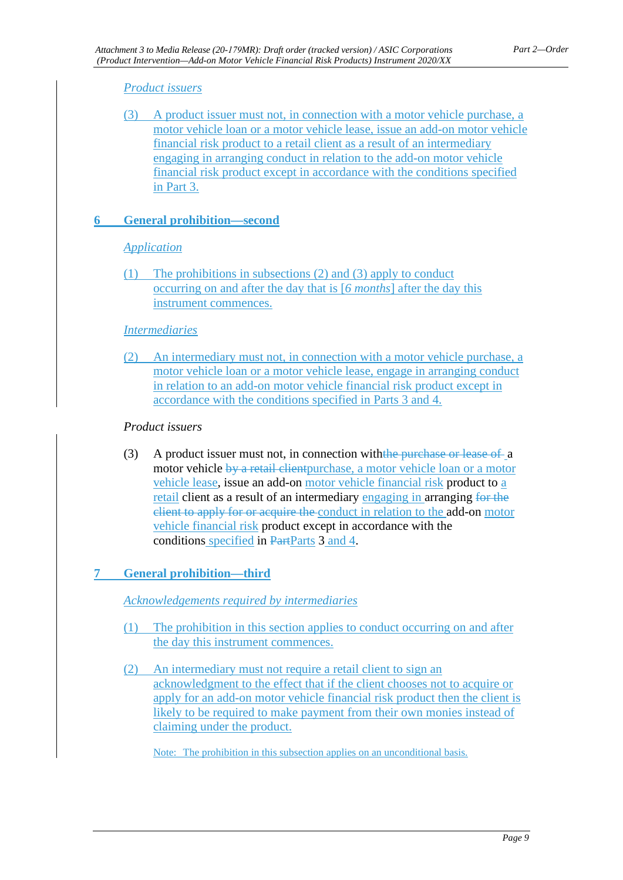### *Product issuers*

(3) A product issuer must not, in connection with a motor vehicle purchase, a motor vehicle loan or a motor vehicle lease, issue an add-on motor vehicle financial risk product to a retail client as a result of an intermediary engaging in arranging conduct in relation to the add-on motor vehicle financial risk product except in accordance with the conditions specified in Part 3.

### <span id="page-8-0"></span>**6 General prohibition—second**

#### *Application*

(1) The prohibitions in subsections (2) and (3) apply to conduct occurring on and after the day that is [*6 months*] after the day this instrument commences.

#### *Intermediaries*

(2) An intermediary must not, in connection with a motor vehicle purchase, a motor vehicle loan or a motor vehicle lease, engage in arranging conduct in relation to an add-on motor vehicle financial risk product except in accordance with the conditions specified in Parts 3 and 4.

#### *Product issuers*

(3) A product issuer must not, in connection with the purchase or lease of a motor vehicle by a retail client purchase, a motor vehicle loan or a motor vehicle lease, issue an add-on motor vehicle financial risk product to a retail client as a result of an intermediary engaging in arranging for the client to apply for or acquire the conduct in relation to the add-on motor vehicle financial risk product except in accordance with the conditions specified in PartParts 3 and 4.

### <span id="page-8-1"></span>**7 General prohibition—third**

*Acknowledgements required by intermediaries*

- (1) The prohibition in this section applies to conduct occurring on and after the day this instrument commences.
- (2) An intermediary must not require a retail client to sign an acknowledgment to the effect that if the client chooses not to acquire or apply for an add-on motor vehicle financial risk product then the client is likely to be required to make payment from their own monies instead of claiming under the product.

Note: The prohibition in this subsection applies on an unconditional basis.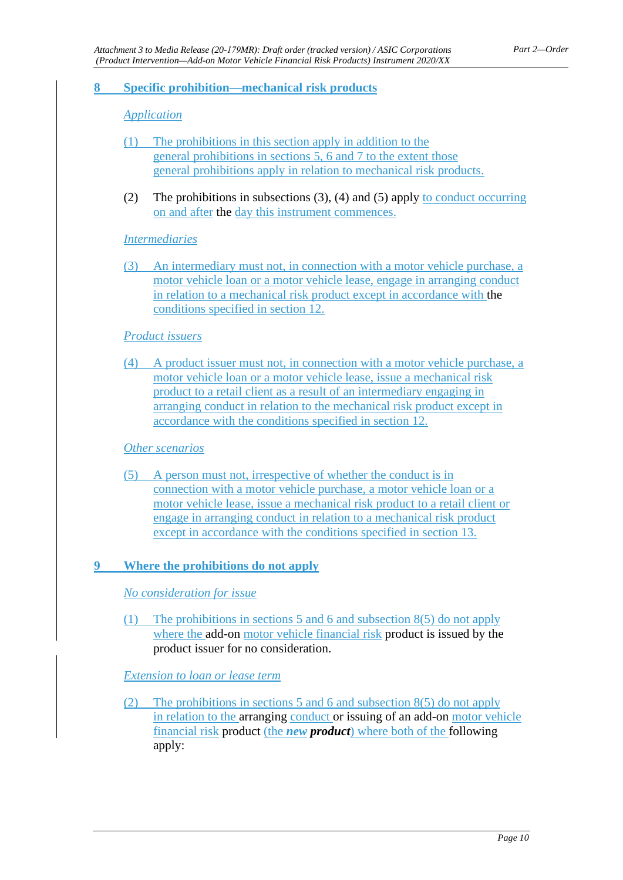#### <span id="page-9-0"></span>**8 Specific prohibition—mechanical risk products**

#### *Application*

- (1) The prohibitions in this section apply in addition to the general prohibitions in sections 5, 6 and 7 to the extent those general prohibitions apply in relation to mechanical risk products.
- (2) The prohibitions in subsections (3), (4) and (5) apply to conduct occurring on and after the day this instrument commences.

#### *Intermediaries*

(3) An intermediary must not, in connection with a motor vehicle purchase, a motor vehicle loan or a motor vehicle lease, engage in arranging conduct in relation to a mechanical risk product except in accordance with the conditions specified in section 12.

#### *Product issuers*

(4) A product issuer must not, in connection with a motor vehicle purchase, a motor vehicle loan or a motor vehicle lease, issue a mechanical risk product to a retail client as a result of an intermediary engaging in arranging conduct in relation to the mechanical risk product except in accordance with the conditions specified in section 12.

#### *Other scenarios*

(5) A person must not, irrespective of whether the conduct is in connection with a motor vehicle purchase, a motor vehicle loan or a motor vehicle lease, issue a mechanical risk product to a retail client or engage in arranging conduct in relation to a mechanical risk product except in accordance with the conditions specified in section 13.

#### <span id="page-9-1"></span>**9 Where the prohibitions do not apply**

#### *No consideration for issue*

(1) The prohibitions in sections 5 and 6 and subsection 8(5) do not apply where the add-on motor vehicle financial risk product is issued by the product issuer for no consideration.

#### *Extension to loan or lease term*

(2) The prohibitions in sections 5 and 6 and subsection 8(5) do not apply in relation to the arranging conduct or issuing of an add-on motor vehicle financial risk product (the *new product*) where both of the following apply: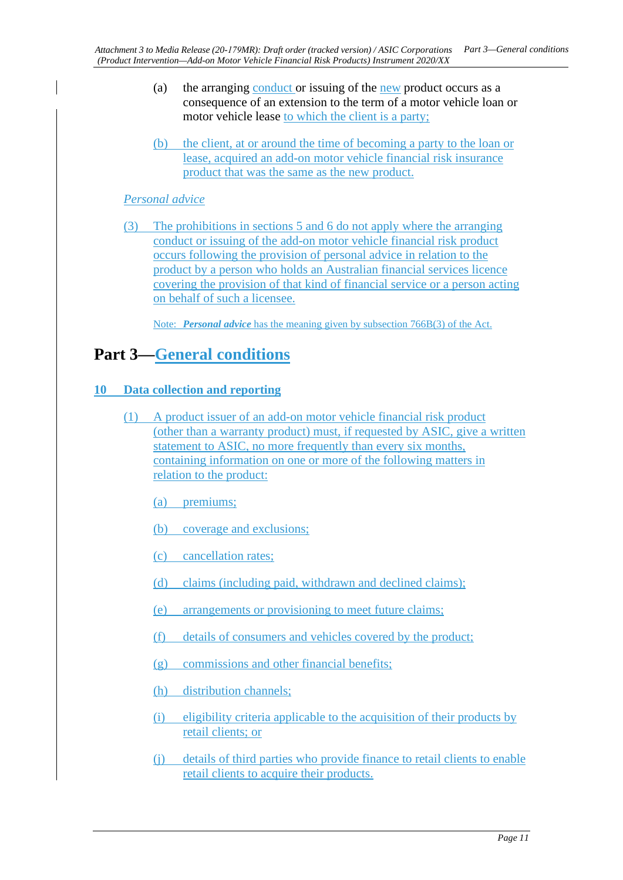- (a) the arranging conduct or issuing of the new product occurs as a consequence of an extension to the term of a motor vehicle loan or motor vehicle lease to which the client is a party;
- (b) the client, at or around the time of becoming a party to the loan or lease, acquired an add-on motor vehicle financial risk insurance product that was the same as the new product.

### *Personal advice*

(3) The prohibitions in sections 5 and 6 do not apply where the arranging conduct or issuing of the add-on motor vehicle financial risk product occurs following the provision of personal advice in relation to the product by a person who holds an Australian financial services licence covering the provision of that kind of financial service or a person acting on behalf of such a licensee.

Note: *Personal advice* has the meaning given by subsection 766B(3) of the Act.

## <span id="page-10-1"></span><span id="page-10-0"></span>**Part 3—General conditions**

### **10 Data collection and reporting**

(1) A product issuer of an add-on motor vehicle financial risk product (other than a warranty product) must, if requested by ASIC, give a written statement to ASIC, no more frequently than every six months, containing information on one or more of the following matters in relation to the product:

(a) premiums;

- (b) coverage and exclusions;
- (c) cancellation rates;
- (d) claims (including paid, withdrawn and declined claims);
- (e) arrangements or provisioning to meet future claims;
- (f) details of consumers and vehicles covered by the product;
- (g) commissions and other financial benefits;
- (h) distribution channels;
- (i) eligibility criteria applicable to the acquisition of their products by retail clients; or
- (j) details of third parties who provide finance to retail clients to enable retail clients to acquire their products.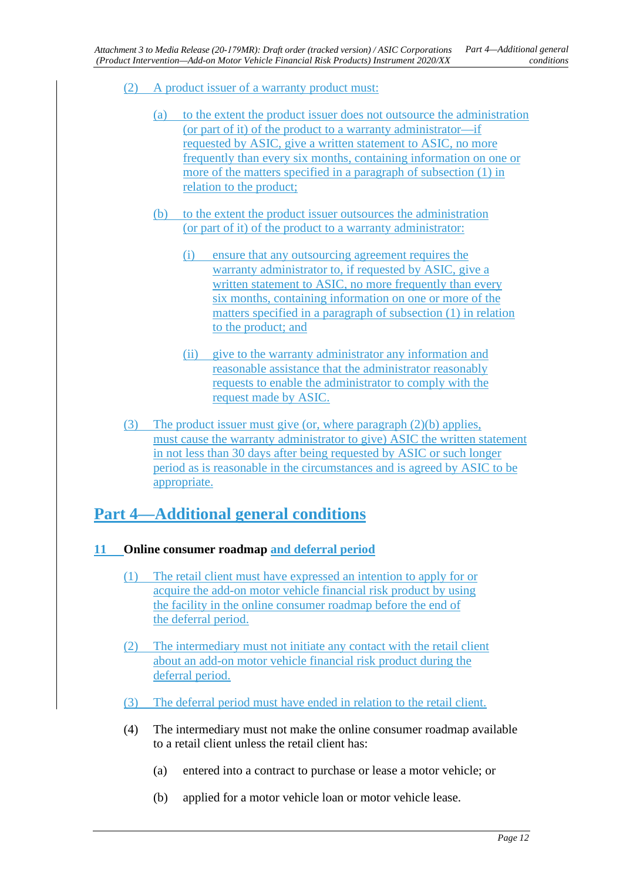- (2) A product issuer of a warranty product must:
	- (a) to the extent the product issuer does not outsource the administration (or part of it) of the product to a warranty administrator—if requested by ASIC, give a written statement to ASIC, no more frequently than every six months, containing information on one or more of the matters specified in a paragraph of subsection (1) in relation to the product;
	- (b) to the extent the product issuer outsources the administration (or part of it) of the product to a warranty administrator:
		- (i) ensure that any outsourcing agreement requires the warranty administrator to, if requested by ASIC, give a written statement to ASIC, no more frequently than every six months, containing information on one or more of the matters specified in a paragraph of subsection (1) in relation to the product; and
		- (ii) give to the warranty administrator any information and reasonable assistance that the administrator reasonably requests to enable the administrator to comply with the request made by ASIC.
- (3) The product issuer must give (or, where paragraph (2)(b) applies, must cause the warranty administrator to give) ASIC the written statement in not less than 30 days after being requested by ASIC or such longer period as is reasonable in the circumstances and is agreed by ASIC to be appropriate.

## <span id="page-11-1"></span><span id="page-11-0"></span>**Part 4—Additional general conditions**

- **11 Online consumer roadmap and deferral period**
	- (1) The retail client must have expressed an intention to apply for or acquire the add-on motor vehicle financial risk product by using the facility in the online consumer roadmap before the end of the deferral period.
	- (2) The intermediary must not initiate any contact with the retail client about an add-on motor vehicle financial risk product during the deferral period.
	- (3) The deferral period must have ended in relation to the retail client.
	- (4) The intermediary must not make the online consumer roadmap available to a retail client unless the retail client has:
		- (a) entered into a contract to purchase or lease a motor vehicle; or
		- (b) applied for a motor vehicle loan or motor vehicle lease.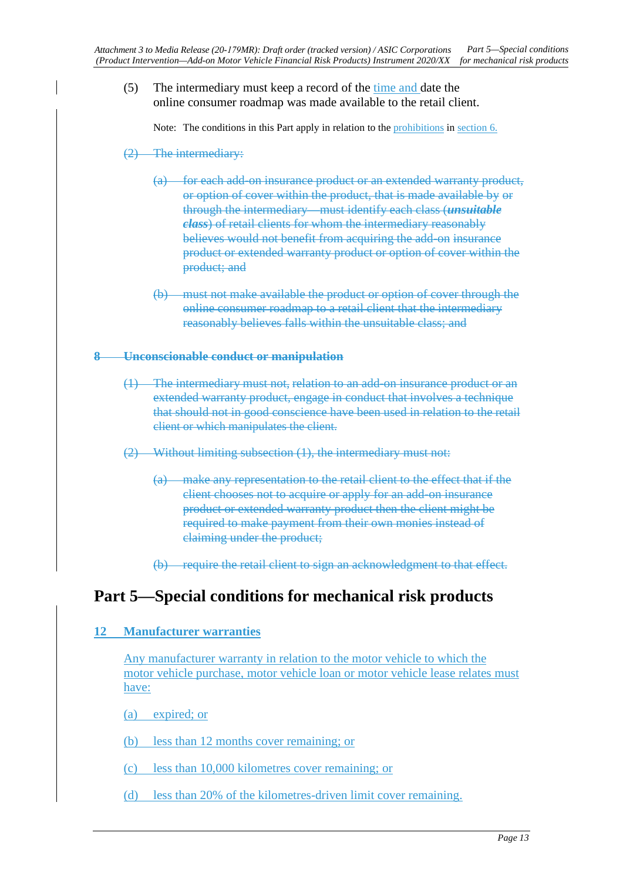(5) The intermediary must keep a record of the time and date the online consumer roadmap was made available to the retail client.

Note: The conditions in this Part apply in relation to the prohibitions in section 6.

- (2) The intermediary:
	- (a) for each add-on insurance product or an extended warranty product, or option of cover within the product, that is made available by or through the intermediary—must identify each class (*unsuitable class*) of retail clients for whom the intermediary reasonably believes would not benefit from acquiring the add-on insurance product or extended warranty product or option of cover within the product; and
	- (b) must not make available the product or option of cover through the online consumer roadmap to a retail client that the intermediary reasonably believes falls within the unsuitable class; and

#### **8 Unconscionable conduct or manipulation**

- (1) The intermediary must not, relation to an add-on insurance product or an extended warranty product, engage in conduct that involves a technique that should not in good conscience have been used in relation to the retail client or which manipulates the client.
- (2) Without limiting subsection (1), the intermediary must not:
	- (a) make any representation to the retail client to the effect that if the client chooses not to acquire or apply for an add-on insurance product or extended warranty product then the client might be required to make payment from their own monies instead of claiming under the product;
	- (b) require the retail client to sign an acknowledgment to that effect.

## <span id="page-12-1"></span><span id="page-12-0"></span>**Part 5—Special conditions for mechanical risk products**

#### **12 Manufacturer warranties**

Any manufacturer warranty in relation to the motor vehicle to which the motor vehicle purchase, motor vehicle loan or motor vehicle lease relates must have:

(a) expired; or

(b) less than 12 months cover remaining; or

- (c) less than 10,000 kilometres cover remaining; or
- (d) less than 20% of the kilometres-driven limit cover remaining.